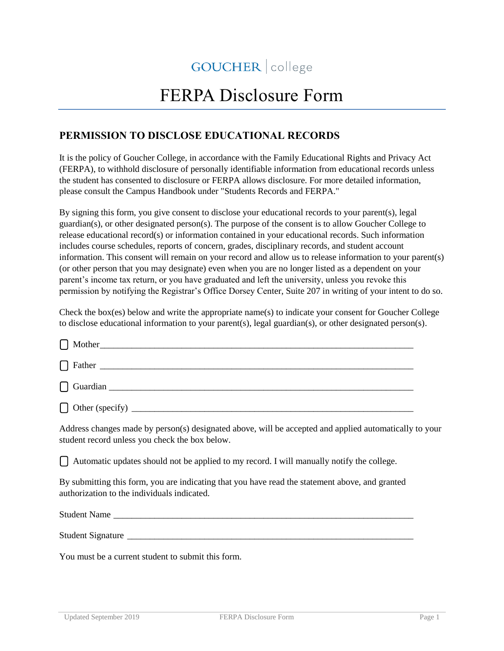## GOUCHER | college

## FERPA Disclosure Form

## **PERMISSION TO DISCLOSE EDUCATIONAL RECORDS**

It is the policy of Goucher College, in accordance with the Family Educational Rights and Privacy Act (FERPA), to withhold disclosure of personally identifiable information from educational records unless the student has consented to disclosure or FERPA allows disclosure. For more detailed information, please consult the Campus Handbook under "Students Records and FERPA."

By signing this form, you give consent to disclose your educational records to your parent(s), legal guardian(s), or other designated person(s). The purpose of the consent is to allow Goucher College to release educational record(s) or information contained in your educational records. Such information includes course schedules, reports of concern, grades, disciplinary records, and student account information. This consent will remain on your record and allow us to release information to your parent(s) (or other person that you may designate) even when you are no longer listed as a dependent on your parent's income tax return, or you have graduated and left the university, unless you revoke this permission by notifying the Registrar's Office Dorsey Center, Suite 207 in writing of your intent to do so.

Check the box(es) below and write the appropriate name(s) to indicate your consent for Goucher College to disclose educational information to your parent(s), legal guardian(s), or other designated person(s).

| Address changes made by person(s) designated above, will be accepted and applied automatically to your<br>student record unless you check the box below. |
|----------------------------------------------------------------------------------------------------------------------------------------------------------|
| $\Box$ Automatic updates should not be applied to my record. I will manually notify the college.                                                         |
| By submitting this form, you are indicating that you have read the statement above, and granted<br>authorization to the individuals indicated.           |
| Student Name                                                                                                                                             |
|                                                                                                                                                          |

You must be a current student to submit this form.